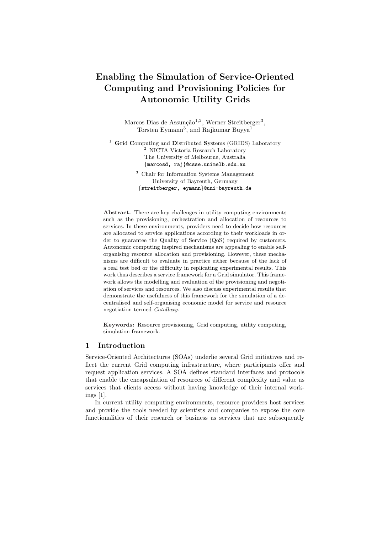# Enabling the Simulation of Service-Oriented Computing and Provisioning Policies for Autonomic Utility Grids

Marcos Dias de Assunção<sup>1,2</sup>, Werner Streitberger<sup>3</sup>, Torsten Eymann<sup>3</sup>, and Rajkumar Buyya<sup>1</sup>

<sup>1</sup> Grid Computing and Distributed Systems (GRIDS) Laboratory <sup>2</sup> NICTA Victoria Research Laboratory The University of Melbourne, Australia {marcosd, raj}@csse.unimelb.edu.au

> <sup>3</sup> Chair for Information Systems Management University of Bayreuth, Germany {streitberger, eymann}@uni-bayreuth.de

Abstract. There are key challenges in utility computing environments such as the provisioning, orchestration and allocation of resources to services. In these environments, providers need to decide how resources are allocated to service applications according to their workloads in order to guarantee the Quality of Service (QoS) required by customers. Autonomic computing inspired mechanisms are appealing to enable selforganising resource allocation and provisioning. However, these mechanisms are difficult to evaluate in practice either because of the lack of a real test bed or the difficulty in replicating experimental results. This work thus describes a service framework for a Grid simulator. This framework allows the modelling and evaluation of the provisioning and negotiation of services and resources. We also discuss experimental results that demonstrate the usefulness of this framework for the simulation of a decentralised and self-organising economic model for service and resource negotiation termed Catallaxy.

Keywords: Resource provisioning, Grid computing, utility computing, simulation framework.

## 1 Introduction

Service-Oriented Architectures (SOAs) underlie several Grid initiatives and reflect the current Grid computing infrastructure, where participants offer and request application services. A SOA defines standard interfaces and protocols that enable the encapsulation of resources of different complexity and value as services that clients access without having knowledge of their internal workings [1].

In current utility computing environments, resource providers host services and provide the tools needed by scientists and companies to expose the core functionalities of their research or business as services that are subsequently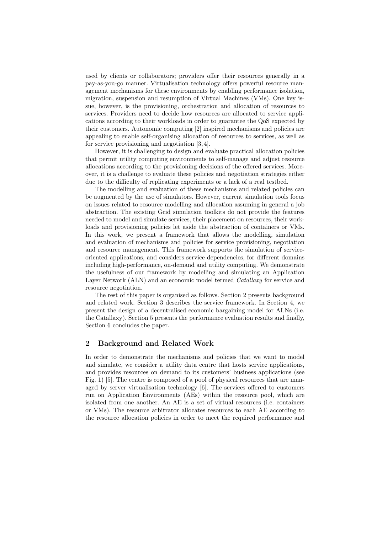used by clients or collaborators; providers offer their resources generally in a pay-as-you-go manner. Virtualisation technology offers powerful resource management mechanisms for these environments by enabling performance isolation, migration, suspension and resumption of Virtual Machines (VMs). One key issue, however, is the provisioning, orchestration and allocation of resources to services. Providers need to decide how resources are allocated to service applications according to their workloads in order to guarantee the QoS expected by their customers. Autonomic computing [2] inspired mechanisms and policies are appealing to enable self-organising allocation of resources to services, as well as for service provisioning and negotiation [3, 4].

However, it is challenging to design and evaluate practical allocation policies that permit utility computing environments to self-manage and adjust resource allocations according to the provisioning decisions of the offered services. Moreover, it is a challenge to evaluate these policies and negotiation strategies either due to the difficulty of replicating experiments or a lack of a real testbed.

The modelling and evaluation of these mechanisms and related policies can be augmented by the use of simulators. However, current simulation tools focus on issues related to resource modelling and allocation assuming in general a job abstraction. The existing Grid simulation toolkits do not provide the features needed to model and simulate services, their placement on resources, their workloads and provisioning policies let aside the abstraction of containers or VMs. In this work, we present a framework that allows the modelling, simulation and evaluation of mechanisms and policies for service provisioning, negotiation and resource management. This framework supports the simulation of serviceoriented applications, and considers service dependencies, for different domains including high-performance, on-demand and utility computing. We demonstrate the usefulness of our framework by modelling and simulating an Application Layer Network (ALN) and an economic model termed *Catallaxy* for service and resource negotiation.

The rest of this paper is organised as follows. Section 2 presents background and related work. Section 3 describes the service framework. In Section 4, we present the design of a decentralised economic bargaining model for ALNs (i.e. the Catallaxy). Section 5 presents the performance evaluation results and finally, Section 6 concludes the paper.

## 2 Background and Related Work

In order to demonstrate the mechanisms and policies that we want to model and simulate, we consider a utility data centre that hosts service applications, and provides resources on demand to its customers' business applications (see Fig. 1) [5]. The centre is composed of a pool of physical resources that are managed by server virtualisation technology [6]. The services offered to customers run on Application Environments (AEs) within the resource pool, which are isolated from one another. An AE is a set of virtual resources (i.e. containers or VMs). The resource arbitrator allocates resources to each AE according to the resource allocation policies in order to meet the required performance and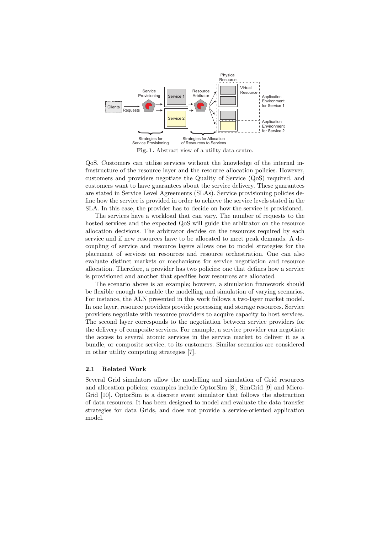

QoS. Customers can utilise services without the knowledge of the internal infrastructure of the resource layer and the resource allocation policies. However, customers and providers negotiate the Quality of Service (QoS) required, and customers want to have guarantees about the service delivery. These guarantees are stated in Service Level Agreements (SLAs). Service provisioning policies de-

fine how the service is provided in order to achieve the service levels stated in the

SLA. In this case, the provider has to decide on how the service is provisioned. The services have a workload that can vary. The number of requests to the hosted services and the expected QoS will guide the arbitrator on the resource allocation decisions. The arbitrator decides on the resources required by each service and if new resources have to be allocated to meet peak demands. A decoupling of service and resource layers allows one to model strategies for the placement of services on resources and resource orchestration. One can also evaluate distinct markets or mechanisms for service negotiation and resource allocation. Therefore, a provider has two policies: one that defines how a service is provisioned and another that specifies how resources are allocated.

The scenario above is an example; however, a simulation framework should be flexible enough to enable the modelling and simulation of varying scenarios. For instance, the ALN presented in this work follows a two-layer market model. In one layer, resource providers provide processing and storage resources. Service providers negotiate with resource providers to acquire capacity to host services. The second layer corresponds to the negotiation between service providers for the delivery of composite services. For example, a service provider can negotiate the access to several atomic services in the service market to deliver it as a bundle, or composite service, to its customers. Similar scenarios are considered in other utility computing strategies [7].

#### 2.1 Related Work

Several Grid simulators allow the modelling and simulation of Grid resources and allocation policies; examples include OptorSim [8], SimGrid [9] and Micro-Grid [10]. OptorSim is a discrete event simulator that follows the abstraction of data resources. It has been designed to model and evaluate the data transfer strategies for data Grids, and does not provide a service-oriented application model.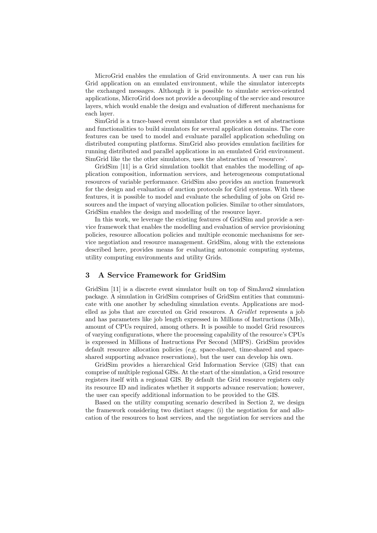MicroGrid enables the emulation of Grid environments. A user can run his Grid application on an emulated environment, while the simulator intercepts the exchanged messages. Although it is possible to simulate service-oriented applications, MicroGrid does not provide a decoupling of the service and resource layers, which would enable the design and evaluation of different mechanisms for each layer.

SimGrid is a trace-based event simulator that provides a set of abstractions and functionalities to build simulators for several application domains. The core features can be used to model and evaluate parallel application scheduling on distributed computing platforms. SimGrid also provides emulation facilities for running distributed and parallel applications in an emulated Grid environment. SimGrid like the the other simulators, uses the abstraction of 'resources'.

GridSim [11] is a Grid simulation toolkit that enables the modelling of application composition, information services, and heterogeneous computational resources of variable performance. GridSim also provides an auction framework for the design and evaluation of auction protocols for Grid systems. With these features, it is possible to model and evaluate the scheduling of jobs on Grid resources and the impact of varying allocation policies. Similar to other simulators, GridSim enables the design and modelling of the resource layer.

In this work, we leverage the existing features of GridSim and provide a service framework that enables the modelling and evaluation of service provisioning policies, resource allocation policies and multiple economic mechanisms for service negotiation and resource management. GridSim, along with the extensions described here, provides means for evaluating autonomic computing systems, utility computing environments and utility Grids.

### 3 A Service Framework for GridSim

GridSim [11] is a discrete event simulator built on top of SimJava2 simulation package. A simulation in GridSim comprises of GridSim entities that communicate with one another by scheduling simulation events. Applications are modelled as jobs that are executed on Grid resources. A Gridlet represents a job and has parameters like job length expressed in Millions of Instructions (MIs), amount of CPUs required, among others. It is possible to model Grid resources of varying configurations, where the processing capability of the resource's CPUs is expressed in Millions of Instructions Per Second (MIPS). GridSim provides default resource allocation policies (e.g. space-shared, time-shared and spaceshared supporting advance reservations), but the user can develop his own.

GridSim provides a hierarchical Grid Information Service (GIS) that can comprise of multiple regional GISs. At the start of the simulation, a Grid resource registers itself with a regional GIS. By default the Grid resource registers only its resource ID and indicates whether it supports advance reservation; however, the user can specify additional information to be provided to the GIS.

Based on the utility computing scenario described in Section 2, we design the framework considering two distinct stages: (i) the negotiation for and allocation of the resources to host services, and the negotiation for services and the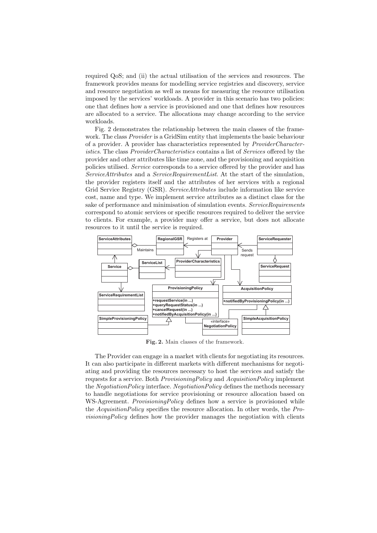required QoS; and (ii) the actual utilisation of the services and resources. The framework provides means for modelling service registries and discovery, service and resource negotiation as well as means for measuring the resource utilisation imposed by the services' workloads. A provider in this scenario has two policies: one that defines how a service is provisioned and one that defines how resources are allocated to a service. The allocations may change according to the service workloads.

Fig. 2 demonstrates the relationship between the main classes of the framework. The class *Provider* is a GridSim entity that implements the basic behaviour of a provider. A provider has characteristics represented by ProviderCharacteristics. The class *ProviderCharacteristics* contains a list of *Services* offered by the provider and other attributes like time zone, and the provisioning and acquisition policies utilised. Service corresponds to a service offered by the provider and has ServiceAttributes and a ServiceRequirementList. At the start of the simulation, the provider registers itself and the attributes of her services with a regional Grid Service Registry (GSR). ServiceAttributes include information like service cost, name and type. We implement service attributes as a distinct class for the sake of performance and minimisation of simulation events. ServiceRequirements correspond to atomic services or specific resources required to deliver the service to clients. For example, a provider may offer a service, but does not allocate resources to it until the service is required.



Fig. 2. Main classes of the framework.

The Provider can engage in a market with clients for negotiating its resources. It can also participate in different markets with different mechanisms for negotiating and providing the resources necessary to host the services and satisfy the requests for a service. Both ProvisioningPolicy and AcquisitionPolicy implement the NegotiationPolicy interface. NegotiationPolicy defines the methods necessary to handle negotiations for service provisioning or resource allocation based on WS-Agreement. *ProvisioningPolicy* defines how a service is provisioned while the AcquisitionPolicy specifies the resource allocation. In other words, the ProvisioningPolicy defines how the provider manages the negotiation with clients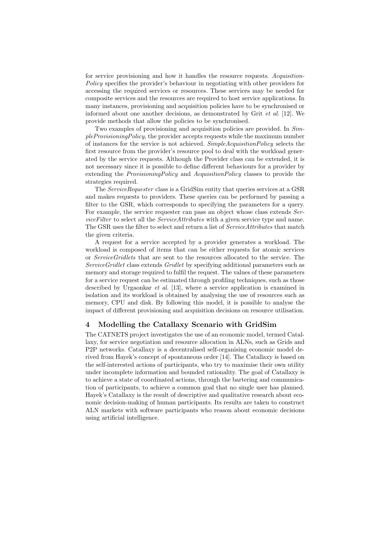for service provisioning and how it handles the resource requests. Acquisition-Policy specifies the provider's behaviour in negotiating with other providers for accessing the required services or resources. These services may be needed for composite services and the resources are required to host service applications. In many instances, provisioning and acquisition policies have to be synchronised or informed about one another decisions, as demonstrated by Grit et al. [12]. We provide methods that allow the policies to be synchronised.

Two examples of provisioning and acquisition policies are provided. In SimpleProvisioningPolicy, the provider accepts requests while the maximum number of instances for the service is not achieved. SimpleAcquisitionPolicy selects the first resource from the provider's resource pool to deal with the workload generated by the service requests. Although the Provider class can be extended, it is not necessary since it is possible to define different behaviours for a provider by extending the *ProvisioningPolicy* and *AcquisitionPolicy* classes to provide the strategies required.

The ServiceRequester class is a GridSim entity that queries services at a GSR and makes requests to providers. These queries can be performed by passing a filter to the GSR, which corresponds to specifying the parameters for a query. For example, the service requester can pass an object whose class extends ServiceFilter to select all the ServiceAttributes with a given service type and name. The GSR uses the filter to select and return a list of *ServiceAttributes* that match the given criteria.

A request for a service accepted by a provider generates a workload. The workload is composed of items that can be either requests for atomic services or ServiceGridlets that are sent to the resources allocated to the service. The ServiceGridlet class extends Gridlet by specifying additional parameters such as memory and storage required to fulfil the request. The values of these parameters for a service request can be estimated through profiling techniques, such as those described by Urgaonkar et al. [13], where a service application is examined in isolation and its workload is obtained by analysing the use of resources such as memory, CPU and disk. By following this model, it is possible to analyse the impact of different provisioning and acquisition decisions on resource utilisation.

## 4 Modelling the Catallaxy Scenario with GridSim

The CATNETS project investigates the use of an economic model, termed Catallaxy, for service negotiation and resource allocation in ALNs, such as Grids and P2P networks. Catallaxy is a decentralised self-organising economic model derived from Hayek's concept of spontaneous order [14]. The Catallaxy is based on the self-interested actions of participants, who try to maximise their own utility under incomplete information and bounded rationality. The goal of Catallaxy is to achieve a state of coordinated actions, through the bartering and communication of participants, to achieve a common goal that no single user has planned. Hayek's Catallaxy is the result of descriptive and qualitative research about economic decision-making of human participants. Its results are taken to construct ALN markets with software participants who reason about economic decisions using artificial intelligence.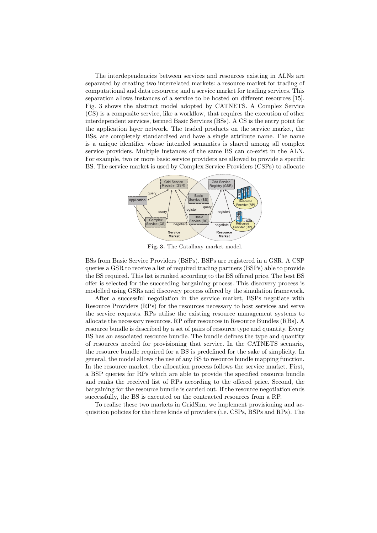The interdependencies between services and resources existing in ALNs are separated by creating two interrelated markets: a resource market for trading of computational and data resources; and a service market for trading services. This separation allows instances of a service to be hosted on different resources [15]. Fig. 3 shows the abstract model adopted by CATNETS. A Complex Service (CS) is a composite service, like a workflow, that requires the execution of other interdependent services, termed Basic Services (BSs). A CS is the entry point for the application layer network. The traded products on the service market, the BSs, are completely standardised and have a single attribute name. The name is a unique identifier whose intended semantics is shared among all complex service providers. Multiple instances of the same BS can co-exist in the ALN. For example, two or more basic service providers are allowed to provide a specific BS. The service market is used by Complex Service Providers (CSPs) to allocate



Fig. 3. The Catallaxy market model.

BSs from Basic Service Providers (BSPs). BSPs are registered in a GSR. A CSP queries a GSR to receive a list of required trading partners (BSPs) able to provide the BS required. This list is ranked according to the BS offered price. The best BS offer is selected for the succeeding bargaining process. This discovery process is modelled using GSRs and discovery process offered by the simulation framework.

After a successful negotiation in the service market, BSPs negotiate with Resource Providers (RPs) for the resources necessary to host services and serve the service requests. RPs utilise the existing resource management systems to allocate the necessary resources. RP offer resources in Resource Bundles (RBs). A resource bundle is described by a set of pairs of resource type and quantity. Every BS has an associated resource bundle. The bundle defines the type and quantity of resources needed for provisioning that service. In the CATNETS scenario, the resource bundle required for a BS is predefined for the sake of simplicity. In general, the model allows the use of any BS to resource bundle mapping function. In the resource market, the allocation process follows the service market. First, a BSP queries for RPs which are able to provide the specified resource bundle and ranks the received list of RPs according to the offered price. Second, the bargaining for the resource bundle is carried out. If the resource negotiation ends successfully, the BS is executed on the contracted resources from a RP.

To realise these two markets in GridSim, we implement provisioning and acquisition policies for the three kinds of providers (i.e. CSPs, BSPs and RPs). The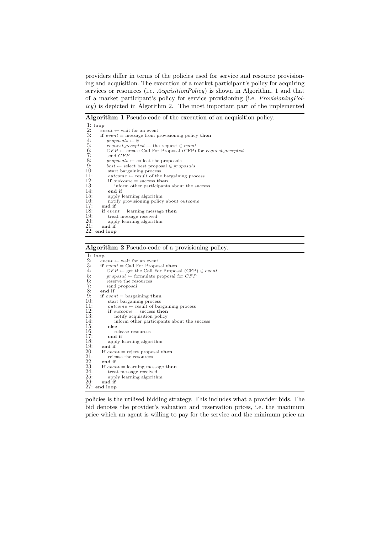providers differ in terms of the policies used for service and resource provisioning and acquisition. The execution of a market participant's policy for acquiring services or resources (i.e.  $AcquistionPolicy$ ) is shown in Algorithm. 1 and that of a market participant's policy for service provisioning (i.e. ProvisioningPolicy) is depicted in Algorithm 2. The most important part of the implemented

Algorithm 1 Pseudo-code of the execution of an acquisition policy.

|     | 1:loop                                                               |
|-----|----------------------------------------------------------------------|
| 2:  | $event \leftarrow$ wait for an event                                 |
| 3:  | if $event = message from provisioning policy then$                   |
| 4:  | $\textit{proposals} \leftarrow \emptyset$                            |
| 5:  | $request\_accepted \leftarrow \text{the request} \in event$          |
| 6:  | $CFP \leftarrow$ create Call For Proposal (CFP) for request_accepted |
| 7:  | send $CFP$                                                           |
| 8:  | $\textit{proposals} \leftarrow \text{collect the proposals}$         |
| 9:  | $best \leftarrow$ select best proposal $\in$ proposals               |
| 10: | start bargaining process                                             |
| 11: | $outcome \leftarrow \text{result of the bargaining process}$         |
| 12: | if <i>outcome</i> $=$ success then                                   |
| 13: | inform other participants about the success                          |
| 14: | end if                                                               |
| 15: | apply learning algorithm                                             |
| 16: | notify provisioning policy about <i>outcome</i>                      |
| 17: | end if                                                               |
| 18: | if $event = learning$ message then                                   |
| 19: | treat message received                                               |
| 20: | apply learning algorithm                                             |
| 21: | end if                                                               |
|     | $22:$ end loop                                                       |

Algorithm 2 Pseudo-code of a provisioning policy.

|     | 1:loop                                                       |
|-----|--------------------------------------------------------------|
| 2:  | $event \leftarrow$ wait for an event                         |
| 3:  | if $event = Call$ For Proposal then                          |
| 4:  | $CFP \leftarrow$ get the Call For Proposal (CFP) $\in event$ |
| 5:  | proposal $\leftarrow$ formulate proposal for $CFP$           |
| 6:  | reserve the resources                                        |
| 7:  | send <i>proposal</i>                                         |
| 8:  | end if                                                       |
| 9:  | if event $=$ bargaining then                                 |
| 10: | start bargaining process                                     |
| 11: | $outcome \leftarrow \text{result of bargaining process}$     |
| 12: | if <i>outcome</i> $=$ success then                           |
| 13: | notify acquisition policy                                    |
| 14: | inform other participants about the success                  |
| 15: | else                                                         |
| 16: | release resources                                            |
| 17: | end if                                                       |
| 18: | apply learning algorithm                                     |
| 19: | end if                                                       |
| 20: | if event = reject proposal then                              |
| 21: | release the resources                                        |
| 22: | end if                                                       |
| 23: | if $event = learning$ message then                           |
| 24: | treat message received                                       |
| 25: | apply learning algorithm                                     |
| 26: | end if                                                       |
|     | $27:$ end loop                                               |
|     |                                                              |

policies is the utilised bidding strategy. This includes what a provider bids. The bid denotes the provider's valuation and reservation prices, i.e. the maximum price which an agent is willing to pay for the service and the minimum price an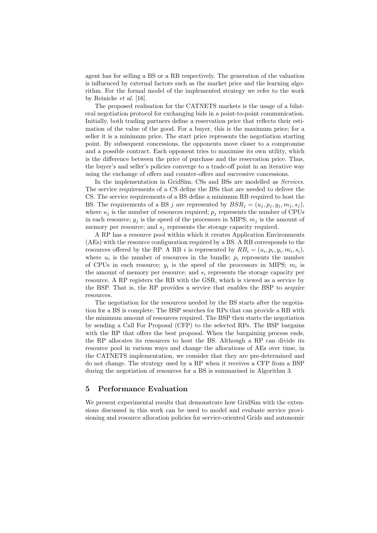agent has for selling a BS or a RB respectively. The generation of the valuation is influenced by external factors such as the market price and the learning algorithm. For the formal model of the implemented strategy we refer to the work by Reinicke et al. [16].

The proposed realisation for the CATNETS markets is the usage of a bilateral negotiation protocol for exchanging bids in a point-to-point communication. Initially, both trading partners define a reservation price that reflects their estimation of the value of the good. For a buyer, this is the maximum price; for a seller it is a minimum price. The start price represents the negotiation starting point. By subsequent concessions, the opponents move closer to a compromise and a possible contract. Each opponent tries to maximise its own utility, which is the difference between the price of purchase and the reservation price. Thus, the buyer's and seller's policies converge to a trade-off point in an iterative way using the exchange of offers and counter-offers and successive concessions.

In the implementation in GridSim, CSs and BSs are modelled as Services. The service requirements of a CS define the BSs that are needed to deliver the CS. The service requirements of a BS define a minimum RB required to host the BS. The requirements of a BS j are represented by  $BSR_j = (u_j, p_j, y_j, m_j, s_j)$ , where  $u_j$  is the number of resources required;  $p_j$  represents the number of CPUs in each resource;  $y_i$  is the speed of the processors in MIPS;  $m_i$  is the amount of memory per resource; and  $s_j$  represents the storage capacity required.

A RP has a resource pool within which it creates Application Environments (AEs) with the resource configuration required by a BS. A RB corresponds to the resources offered by the RP. A RB *i* is represented by  $RB_i = (u_i, p_i, y_i, m_i, s_i)$ , where  $u_i$  is the number of resources in the bundle;  $p_i$  represents the number of CPUs in each resource;  $y_i$  is the speed of the processors in MIPS;  $m_i$  is the amount of memory per resource; and  $s_i$  represents the storage capacity per resource. A RP registers the RB with the GSR, which is viewed as a service by the BSP. That is, the RP provides a service that enables the BSP to acquire resources.

The negotiation for the resources needed by the BS starts after the negotiation for a BS is complete. The BSP searches for RPs that can provide a RB with the minimum amount of resources required. The BSP then starts the negotiation by sending a Call For Proposal (CFP) to the selected RPs. The BSP bargains with the RP that offers the best proposal. When the bargaining process ends, the RP allocates its resources to host the BS. Although a RP can divide its resource pool in various ways and change the allocations of AEs over time, in the CATNETS implementation, we consider that they are pre-determined and do not change. The strategy used by a RP when it receives a CFP from a BSP during the negotiation of resources for a BS is summarised in Algorithm 3.

#### 5 Performance Evaluation

We present experimental results that demonstrate how GridSim with the extensions discussed in this work can be used to model and evaluate service provisioning and resource allocation policies for service-oriented Grids and autonomic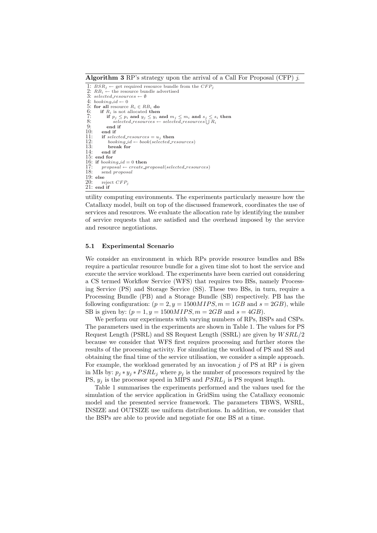**Algorithm 3** RP's strategy upon the arrival of a Call For Proposal (CFP)  $i$ .

1:  $BSR_j \leftarrow$  get required resource bundle from the  $CFP_j$ <br>2:  $RB_i \leftarrow$  the resource bundle advertised  $3: selected\_resources \leftarrow \emptyset$ <br>  $4: \; booking\_id \leftarrow 0$ 5: for all resource  $R_i \in RB_i$  do<br>6: if  $R_i$  is not allocated then<br>7: if  $n_i \leq n_i$  and  $n_i \leq n_i$ if  $R_i$  is not allocated then 7: if  $p_j \leq p_i$  and  $y_j \leq y_i$  and  $m_j \leq m_i$  and  $s_j \leq s_i$  then<br>8: selected\_resources  $\leftarrow$  selected\_resources  $\bigcup R_i$ <br>9: end if 8:  $\text{If } p_j \leq p_i \text{ and } y_j \leq y_i \text{ and } m_j \leq m_i \text{ and } s_j \leq s$ <br>8:  $\text{selected\_resources} \leftarrow \text{selected\_resources} \cup R_i$  $9:$  end if <br>10: end if 10: end if<br>11: if  $\text{sele}$ 11: **if** selected\_resources =  $u_j$  **then**<br>12: booking id  $\leftarrow$  book(selected re 12: booking\_id ← book(selected\_resources)<br>13: **break for**<br>14: **end if** break for 14: end if 15: end for 16: if booking id = 0 then<br>17: proposal  $\leftarrow$  create\_n 17:  $\text{proposal} \leftarrow \text{create\_proposal}(\text{selected\_resources})$ <br>18: send proposal send proposal  $\frac{19}{20}$ : else reject  $CFP_i$  $2i$ : end if

utility computing environments. The experiments particularly measure how the Catallaxy model, built on top of the discussed framework, coordinates the use of services and resources. We evaluate the allocation rate by identifying the number of service requests that are satisfied and the overhead imposed by the service and resource negotiations.

#### 5.1 Experimental Scenario

We consider an environment in which RPs provide resource bundles and BSs require a particular resource bundle for a given time slot to host the service and execute the service workload. The experiments have been carried out considering a CS termed Workflow Service (WFS) that requires two BSs, namely Processing Service (PS) and Storage Service (SS). These two BSs, in turn, require a Processing Bundle (PB) and a Storage Bundle (SB) respectively. PB has the following configuration:  $(p = 2, y = 1500MIPS, m = 1GB \text{ and } s = 2GB)$ , while SB is given by:  $(p = 1, y = 1500MIPS, m = 2GB \text{ and } s = 4GB)$ .

We perform our experiments with varying numbers of RPs, BSPs and CSPs. The parameters used in the experiments are shown in Table 1. The values for PS Request Length (PSRL) and SS Request Length (SSRL) are given by W SRL/2 because we consider that WFS first requires processing and further stores the results of the processing activity. For simulating the workload of PS and SS and obtaining the final time of the service utilisation, we consider a simple approach. For example, the workload generated by an invocation  $j$  of PS at RP  $i$  is given in MIs by:  $p_i * y_i * PSRL_i$  where  $p_i$  is the number of processors required by the PS,  $y_j$  is the processor speed in MIPS and  $PSRL_j$  is PS request length.

Table 1 summarises the experiments performed and the values used for the simulation of the service application in GridSim using the Catallaxy economic model and the presented service framework. The parameters TBWS, WSRL, INSIZE and OUTSIZE use uniform distributions. In addition, we consider that the BSPs are able to provide and negotiate for one BS at a time.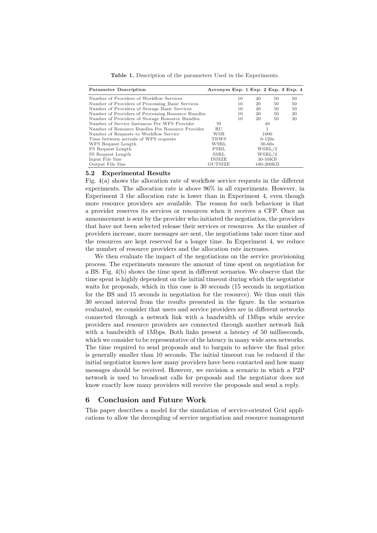Table 1. Description of the parameters Used in the Experiments.

| <b>Parameter Description</b>                       | Acronym Exp. 1 Exp. 2 Exp. 3 Exp. 4 |    |           |    |    |  |
|----------------------------------------------------|-------------------------------------|----|-----------|----|----|--|
| Number of Providers of Workflow Services           |                                     | 10 | 20        | 50 | 50 |  |
| Number of Providers of Processing Basic Services   |                                     | 10 | 20        | 50 | 50 |  |
| Number of Providers of Storage Basic Services      |                                     | 10 | 20        | 50 | 50 |  |
| Number of Providers of Processing Resource Bundles |                                     | 10 | 20        | 50 | 20 |  |
| Number of Providers of Storage Resource Bundles    |                                     | 10 | 20        | 50 | 20 |  |
| Number of Service Instances Per WFS Provider       | SI                                  |    | 40        |    |    |  |
| Number of Resource Bundles Per Resource Provider   | RU                                  |    |           |    |    |  |
| Number of Requests to Workflow Service             | <b>WSR</b>                          |    | 1000      |    |    |  |
| Time between arrivals of WFS requests              | <b>TBWS</b>                         |    | $0-120s$  |    |    |  |
| WFS Request Length                                 | WSRL                                |    | $30-60s$  |    |    |  |
| PS Request Length                                  | PSRL                                |    | WSRL/2    |    |    |  |
| SS Request Length                                  | <b>SSRL</b>                         |    | WSEL/2    |    |    |  |
| Input File Size                                    | <b>INSIZE</b>                       |    | $30-50KB$ |    |    |  |
| Output File Size                                   | OUTSIZE                             |    | 100-200KB |    |    |  |

#### 5.2 Experimental Results

Fig. 4(a) shows the allocation rate of workflow service requests in the different experiments. The allocation rate is above 96% in all experiments. However, in Experiment 3 the allocation rate is lower than in Experiment 4, even though more resource providers are available. The reason for such behaviour is that a provider reserves its services or resources when it receives a CFP. Once an announcement is sent by the provider who initiated the negotiation, the providers that have not been selected release their services or resources. As the number of providers increase, more messages are sent, the negotiations take more time and the resources are kept reserved for a longer time. In Experiment 4, we reduce the number of resource providers and the allocation rate increases.

We then evaluate the impact of the negotiations on the service provisioning process. The experiments measure the amount of time spent on negotiation for a BS. Fig. 4(b) shows the time spent in different scenarios. We observe that the time spent is highly dependent on the initial timeout during which the negotiator waits for proposals, which in this case is 30 seconds (15 seconds in negotiation for the BS and 15 seconds in negotiation for the resource). We thus omit this 30 second interval from the results presented in the figure. In the scenarios evaluated, we consider that users and service providers are in different networks connected through a network link with a bandwidth of 1Mbps while service providers and resource providers are connected through another network link with a bandwidth of 1Mbps. Both links present a latency of 50 milliseconds, which we consider to be representative of the latency in many wide area networks. The time required to send proposals and to bargain to achieve the final price is generally smaller than 10 seconds. The initial timeout can be reduced if the initial negotiator knows how many providers have been contacted and how many messages should be received. However, we envision a scenario in which a P2P network is used to broadcast calls for proposals and the negotiator does not know exactly how many providers will receive the proposals and send a reply.

## 6 Conclusion and Future Work

This paper describes a model for the simulation of service-oriented Grid applications to allow the decoupling of service negotiation and resource management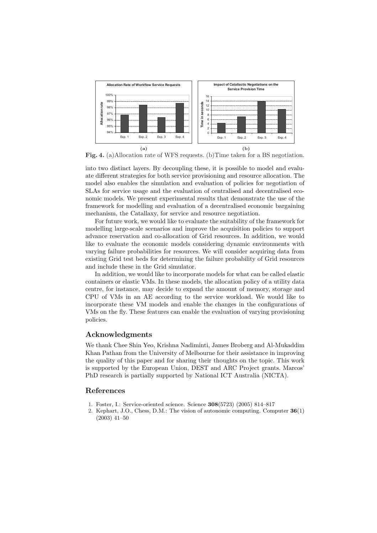

Fig. 4. (a)Allocation rate of WFS requests. (b)Time taken for a BS negotiation.

into two distinct layers. By decoupling these, it is possible to model and evaluate different strategies for both service provisioning and resource allocation. The model also enables the simulation and evaluation of policies for negotiation of SLAs for service usage and the evaluation of centralised and decentralised economic models. We present experimental results that demonstrate the use of the framework for modelling and evaluation of a decentralised economic bargaining mechanism, the Catallaxy, for service and resource negotiation.

For future work, we would like to evaluate the suitability of the framework for modelling large-scale scenarios and improve the acquisition policies to support advance reservation and co-allocation of Grid resources. In addition, we would like to evaluate the economic models considering dynamic environments with varying failure probabilities for resources. We will consider acquiring data from existing Grid test beds for determining the failure probability of Grid resources and include these in the Grid simulator.

In addition, we would like to incorporate models for what can be called elastic containers or elastic VMs. In these models, the allocation policy of a utility data centre, for instance, may decide to expand the amount of memory, storage and CPU of VMs in an AE according to the service workload. We would like to incorporate these VM models and enable the changes in the configurations of VMs on the fly. These features can enable the evaluation of varying provisioning policies.

## Acknowledgments

We thank Chee Shin Yeo, Krishna Nadiminti, James Broberg and Al-Mukaddim Khan Pathan from the University of Melbourne for their assistance in improving the quality of this paper and for sharing their thoughts on the topic. This work is supported by the European Union, DEST and ARC Project grants. Marcos' PhD research is partially supported by National ICT Australia (NICTA).

### References

- 1. Foster, I.: Service-oriented science. Science 308(5723) (2005) 814–817
- 2. Kephart, J.O., Chess, D.M.: The vision of autonomic computing. Computer 36(1) (2003) 41–50